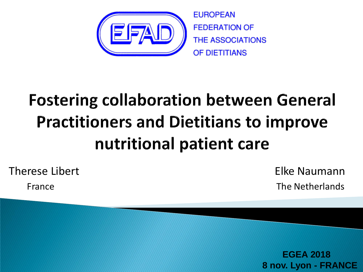

**EUROPEAN FEDERATION OF THE ASSOCIATIONS** OF DIETITIANS

# **Fostering collaboration between General Practitioners and Dietitians to improve** nutritional patient care

Therese Libert

France

 Elke Naumann The Netherlands

 **EGEA 2018 8 nov. Lyon - FRANCE**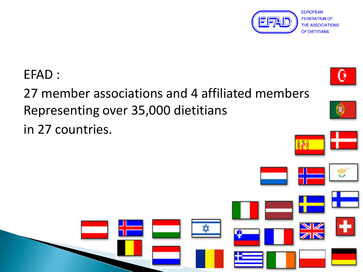

#### EFAD :

# 27 member associations and 4 affiliated members Representing over 35,000 dietitians

in 27 countries.



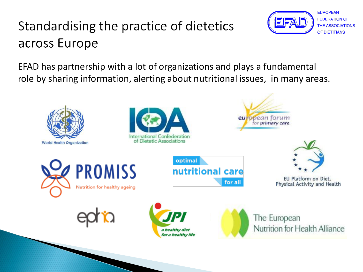## Standardising the practice of dietetics across Europe



**EUROPEAN FEDERATION OF THE ASSOCIATIONS** OF DIETITIANS

EFAD has partnership with a lot of organizations and plays a fundamental role by sharing information, alerting about nutritional issues, in many areas.

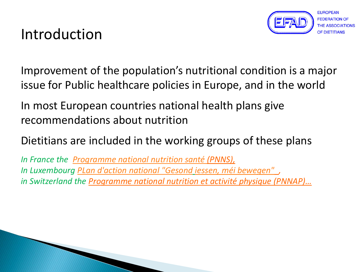

## Introduction

Improvement of the population's nutritional condition is a major issue for Public healthcare policies in Europe, and in the world

In most European countries national health plans give recommendations about nutrition

Dietitians are included in the working groups of these plans

*In France the [Programme national nutrition santé \(](http://solidarites-sante.gouv.fr/IMG/pdf/pnns_2011-2015-2.pdf)PNNS), In Luxembourg [PLan d'action national "Gesond](http://www.sante.public.lu/fr/campagnes/alimentation/2006/gesond-iessen/index.html) [iessen, méi bewegen"](http://www.sante.public.lu/fr/campagnes/alimentation/2006/gesond-iessen/index.html) , in Switzerland the Programme national nutrition et activité physique (PNNAP)…*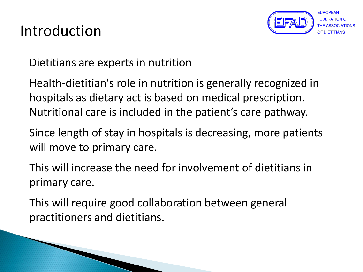## Introduction

Dietitians are experts in nutrition

Health-dietitian's role in nutrition is generally recognized in hospitals as dietary act is based on medical prescription. Nutritional care is included in the patient's care pathway.

Since length of stay in hospitals is decreasing, more patients will move to primary care.

This will increase the need for involvement of dietitians in primary care.

This will require good collaboration between general practitioners and dietitians.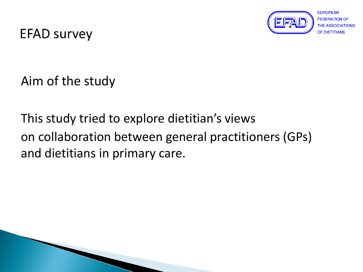

**EUROPEAN FEDERATION OF** OF DIFTITIANS

**EFAD survey** 

Aim of the study

This study tried to explore dietitian's views on collaboration between general practitioners (GPs) and dietitians in primary care.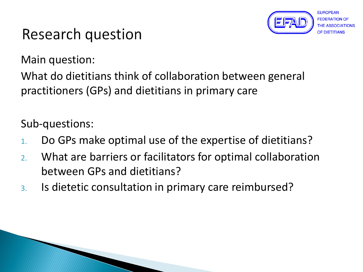

## Research question

Main question:

What do dietitians think of collaboration between general practitioners (GPs) and dietitians in primary care

Sub-questions:

- 1. Do GPs make optimal use of the expertise of dietitians?
- 2. What are barriers or facilitators for optimal collaboration between GPs and dietitians?
- 3. Is dietetic consultation in primary care reimbursed?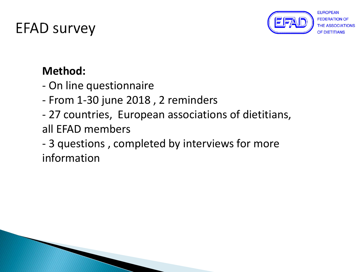

**EUROPEAN FEDERATION OF** OF DIFTITIANS

#### **Method:**

- On line questionnaire
- From 1-30 june 2018 , 2 reminders
- 27 countries, European associations of dietitians,
- all EFAD members
- 3 questions , completed by interviews for more information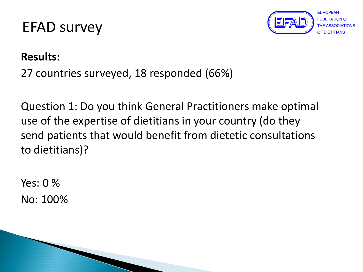

**EUROPEAN FEDERATION OF** OF DIFTITIANS

#### **Results:**

27 countries surveyed, 18 responded (66%)

Question 1: Do you think General Practitioners make optimal use of the expertise of dietitians in your country (do they send patients that would benefit from dietetic consultations to dietitians)?

Yes:  $0\%$ No: 100%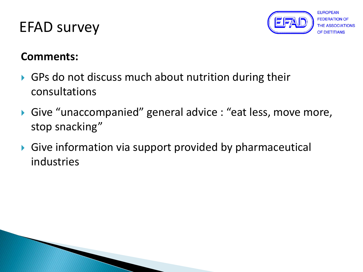

#### **Comments:**

- GPs do not discuss much about nutrition during their consultations
- ▶ Give "unaccompanied" general advice : "eat less, move more, stop snacking"
- Give information via support provided by pharmaceutical industries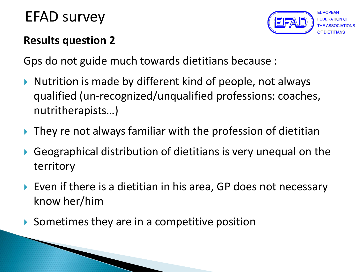

EUROPEAN

#### **Results question 2**

Gps do not guide much towards dietitians because :

- ▶ Nutrition is made by different kind of people, not always qualified (un-recognized/unqualified professions: coaches, nutritherapists…)
- ▶ They re not always familiar with the profession of dietitian
- Geographical distribution of dietitians is very unequal on the territory
- ▶ Even if there is a dietitian in his area, GP does not necessary know her/him
- Sometimes they are in a competitive position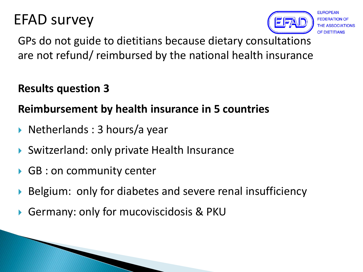

GPs do not guide to dietitians because dietary consultations are not refund/ reimbursed by the national health insurance

#### **Results question 3**

#### **Reimbursement by health insurance in 5 countries**

- ▶ Netherlands : 3 hours/a year
- Switzerland: only private Health Insurance
- ▶ GB : on community center
- ▶ Belgium: only for diabetes and severe renal insufficiency
- Germany: only for mucoviscidosis & PKU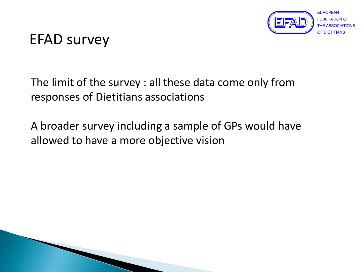

The limit of the survey : all these data come only from responses of Dietitians associations

A broader survey including a sample of GPs would have allowed to have a more objective vision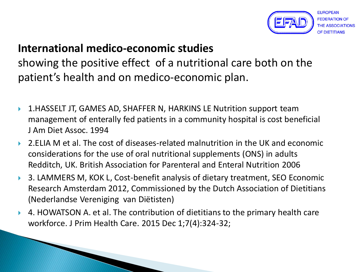

#### **International medico-economic studies**

showing the positive effect of a nutritional care both on the patient's health and on medico-economic plan.

- 1.HASSELT JT, GAMES AD, SHAFFER N, HARKINS LE Nutrition support team management of enterally fed patients in a community hospital is cost beneficial J Am Diet Assoc. 1994
- 2.ELIA M et al. The cost of diseases-related malnutrition in the UK and economic considerations for the use of oral nutritional supplements (ONS) in adults Redditch, UK. British Association for Parenteral and Enteral Nutrition 2006
- ▶ 3. LAMMERS M, KOK L, Cost-benefit analysis of dietary treatment, SEO Economic Research Amsterdam 2012, Commissioned by the Dutch Association of Dietitians (Nederlandse Vereniging van Diëtisten)
- 4. HOWATSON A. et al. The contribution of dietitians to the primary health care workforce. J Prim Health Care. 2015 Dec 1;7(4):324-32;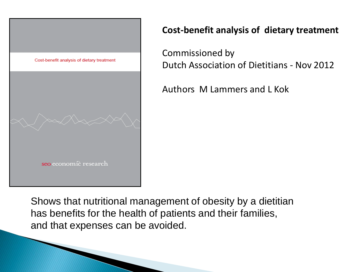

#### **Cost-benefit analysis of dietary treatment**

Commissioned by Dutch Association of Dietitians - Nov 2012

Authors M Lammers and L Kok

Shows that nutritional management of obesity by a dietitian has benefits for the health of patients and their families, and that expenses can be avoided.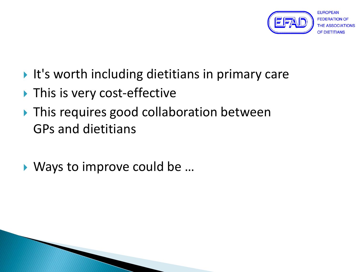

- $\blacktriangleright$  It's worth including dietitians in primary care
- ▶ This is very cost-effective
- ▶ This requires good collaboration between GPs and dietitians
- ▶ Ways to improve could be ...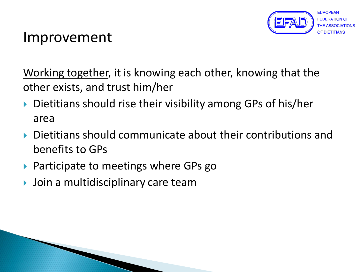

## Improvement

Working together, it is knowing each other, knowing that the other exists, and trust him/her

- ▶ Dietitians should rise their visibility among GPs of his/her area
- Dietitians should communicate about their contributions and benefits to GPs
- ▶ Participate to meetings where GPs go
- Join a multidisciplinary care team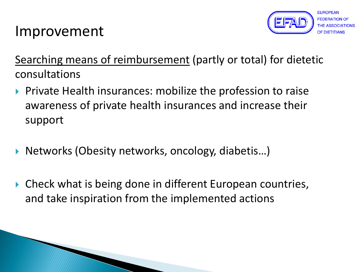

## Improvement

Searching means of reimbursement (partly or total) for dietetic consultations

- **Private Health insurances: mobilize the profession to raise** awareness of private health insurances and increase their support
- ▶ Networks (Obesity networks, oncology, diabetis...)
- ▶ Check what is being done in different European countries, and take inspiration from the implemented actions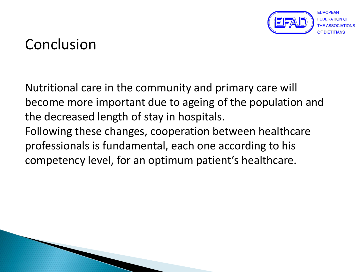

## Conclusion

Nutritional care in the community and primary care will become more important due to ageing of the population and the decreased length of stay in hospitals. Following these changes, cooperation between healthcare professionals is fundamental, each one according to his competency level, for an optimum patient's healthcare.